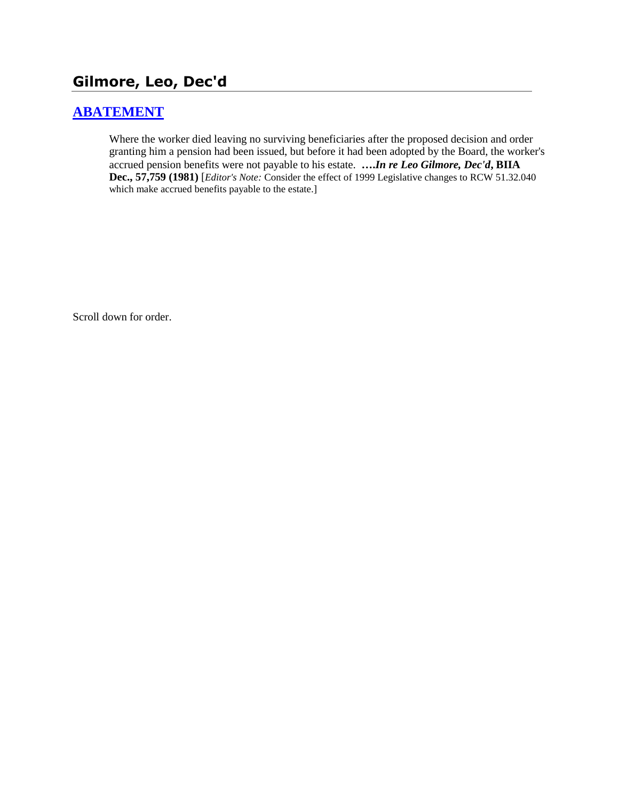# **Gilmore, Leo, Dec'd**

### **[ABATEMENT](http://www.biia.wa.gov/SDSubjectIndex.html#ABATEMENT)**

Where the worker died leaving no surviving beneficiaries after the proposed decision and order granting him a pension had been issued, but before it had been adopted by the Board, the worker's accrued pension benefits were not payable to his estate. **….***In re Leo Gilmore, Dec'd***, BIIA Dec., 57,759 (1981)** [*Editor's Note:* Consider the effect of 1999 Legislative changes to RCW 51.32.040 which make accrued benefits payable to the estate.]

Scroll down for order.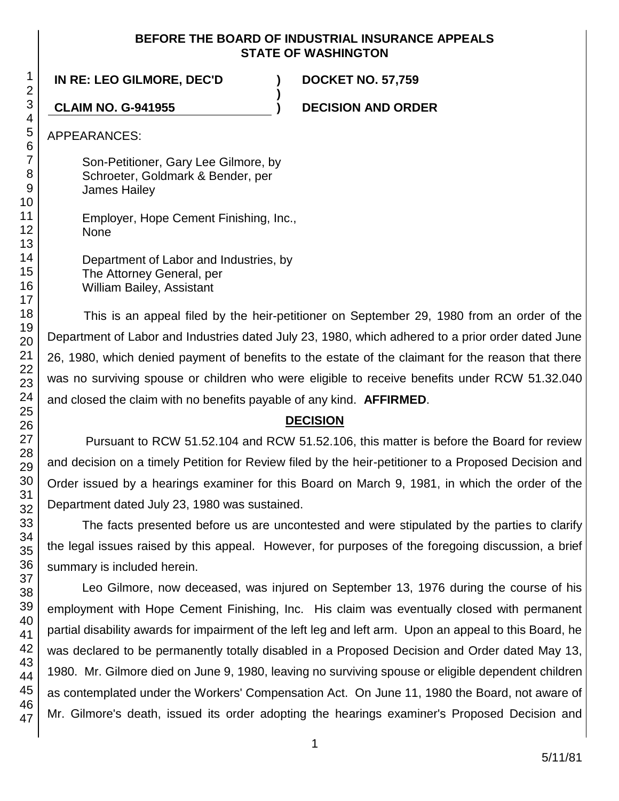### **BEFORE THE BOARD OF INDUSTRIAL INSURANCE APPEALS STATE OF WASHINGTON**

**)**

**IN RE: LEO GILMORE, DEC'D ) DOCKET NO. 57,759**

**CLAIM NO. G-941955 ) DECISION AND ORDER**

APPEARANCES:

Son-Petitioner, Gary Lee Gilmore, by Schroeter, Goldmark & Bender, per James Hailey

Employer, Hope Cement Finishing, Inc., None

Department of Labor and Industries, by The Attorney General, per William Bailey, Assistant

This is an appeal filed by the heir-petitioner on September 29, 1980 from an order of the Department of Labor and Industries dated July 23, 1980, which adhered to a prior order dated June 26, 1980, which denied payment of benefits to the estate of the claimant for the reason that there was no surviving spouse or children who were eligible to receive benefits under RCW 51.32.040 and closed the claim with no benefits payable of any kind. **AFFIRMED**.

## **DECISION**

Pursuant to RCW 51.52.104 and RCW 51.52.106, this matter is before the Board for review and decision on a timely Petition for Review filed by the heir-petitioner to a Proposed Decision and Order issued by a hearings examiner for this Board on March 9, 1981, in which the order of the Department dated July 23, 1980 was sustained.

The facts presented before us are uncontested and were stipulated by the parties to clarify the legal issues raised by this appeal. However, for purposes of the foregoing discussion, a brief summary is included herein.

Leo Gilmore, now deceased, was injured on September 13, 1976 during the course of his employment with Hope Cement Finishing, Inc. His claim was eventually closed with permanent partial disability awards for impairment of the left leg and left arm. Upon an appeal to this Board, he was declared to be permanently totally disabled in a Proposed Decision and Order dated May 13, 1980. Mr. Gilmore died on June 9, 1980, leaving no surviving spouse or eligible dependent children as contemplated under the Workers' Compensation Act. On June 11, 1980 the Board, not aware of Mr. Gilmore's death, issued its order adopting the hearings examiner's Proposed Decision and

1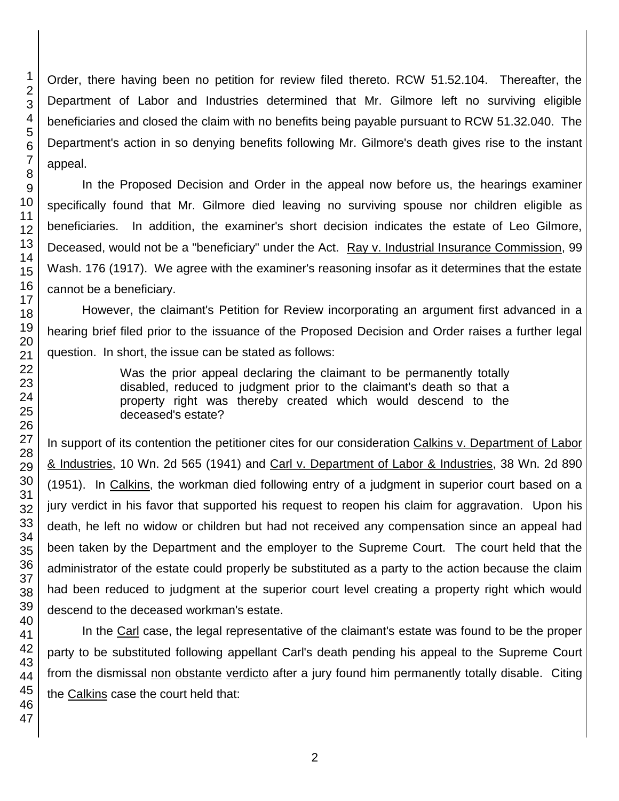Order, there having been no petition for review filed thereto. RCW 51.52.104. Thereafter, the Department of Labor and Industries determined that Mr. Gilmore left no surviving eligible beneficiaries and closed the claim with no benefits being payable pursuant to RCW 51.32.040. The Department's action in so denying benefits following Mr. Gilmore's death gives rise to the instant appeal.

In the Proposed Decision and Order in the appeal now before us, the hearings examiner specifically found that Mr. Gilmore died leaving no surviving spouse nor children eligible as beneficiaries. In addition, the examiner's short decision indicates the estate of Leo Gilmore, Deceased, would not be a "beneficiary" under the Act. Ray v. Industrial Insurance Commission, 99 Wash. 176 (1917). We agree with the examiner's reasoning insofar as it determines that the estate cannot be a beneficiary.

However, the claimant's Petition for Review incorporating an argument first advanced in a hearing brief filed prior to the issuance of the Proposed Decision and Order raises a further legal question. In short, the issue can be stated as follows:

> Was the prior appeal declaring the claimant to be permanently totally disabled, reduced to judgment prior to the claimant's death so that a property right was thereby created which would descend to the deceased's estate?

In support of its contention the petitioner cites for our consideration Calkins v. Department of Labor & Industries, 10 Wn. 2d 565 (1941) and Carl v. Department of Labor & Industries, 38 Wn. 2d 890 (1951). In Calkins, the workman died following entry of a judgment in superior court based on a jury verdict in his favor that supported his request to reopen his claim for aggravation. Upon his death, he left no widow or children but had not received any compensation since an appeal had been taken by the Department and the employer to the Supreme Court. The court held that the administrator of the estate could properly be substituted as a party to the action because the claim had been reduced to judgment at the superior court level creating a property right which would descend to the deceased workman's estate.

In the Carl case, the legal representative of the claimant's estate was found to be the proper party to be substituted following appellant Carl's death pending his appeal to the Supreme Court from the dismissal non obstante verdicto after a jury found him permanently totally disable. Citing the Calkins case the court held that: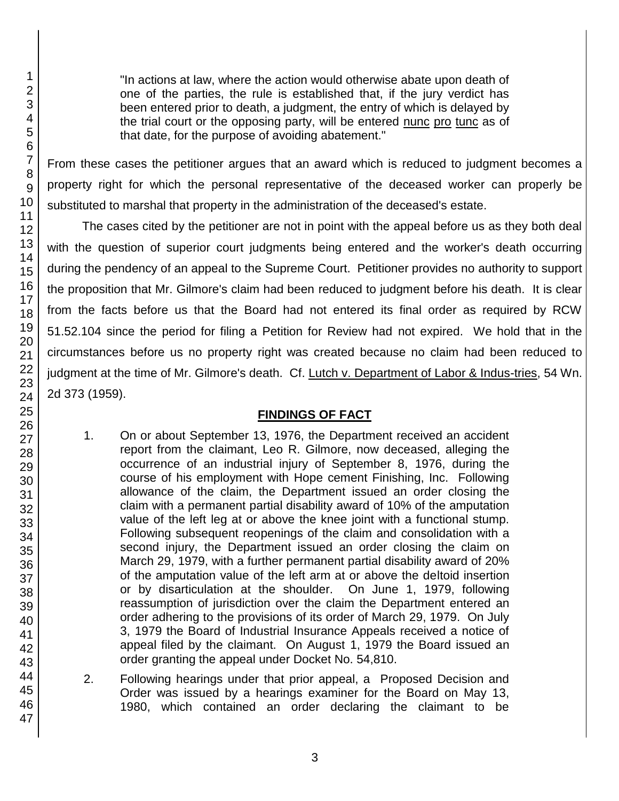"In actions at law, where the action would otherwise abate upon death of one of the parties, the rule is established that, if the jury verdict has been entered prior to death, a judgment, the entry of which is delayed by the trial court or the opposing party, will be entered nunc pro tunc as of that date, for the purpose of avoiding abatement."

From these cases the petitioner argues that an award which is reduced to judgment becomes a property right for which the personal representative of the deceased worker can properly be substituted to marshal that property in the administration of the deceased's estate.

The cases cited by the petitioner are not in point with the appeal before us as they both deal with the question of superior court judgments being entered and the worker's death occurring during the pendency of an appeal to the Supreme Court. Petitioner provides no authority to support the proposition that Mr. Gilmore's claim had been reduced to judgment before his death. It is clear from the facts before us that the Board had not entered its final order as required by RCW 51.52.104 since the period for filing a Petition for Review had not expired. We hold that in the circumstances before us no property right was created because no claim had been reduced to judgment at the time of Mr. Gilmore's death. Cf. Lutch v. Department of Labor & Indus-tries, 54 Wn. 2d 373 (1959).

## **FINDINGS OF FACT**

- 1. On or about September 13, 1976, the Department received an accident report from the claimant, Leo R. Gilmore, now deceased, alleging the occurrence of an industrial injury of September 8, 1976, during the course of his employment with Hope cement Finishing, Inc. Following allowance of the claim, the Department issued an order closing the claim with a permanent partial disability award of 10% of the amputation value of the left leg at or above the knee joint with a functional stump. Following subsequent reopenings of the claim and consolidation with a second injury, the Department issued an order closing the claim on March 29, 1979, with a further permanent partial disability award of 20% of the amputation value of the left arm at or above the deltoid insertion or by disarticulation at the shoulder. On June 1, 1979, following reassumption of jurisdiction over the claim the Department entered an order adhering to the provisions of its order of March 29, 1979. On July 3, 1979 the Board of Industrial Insurance Appeals received a notice of appeal filed by the claimant. On August 1, 1979 the Board issued an order granting the appeal under Docket No. 54,810.
- 2. Following hearings under that prior appeal, a Proposed Decision and Order was issued by a hearings examiner for the Board on May 13, 1980, which contained an order declaring the claimant to be